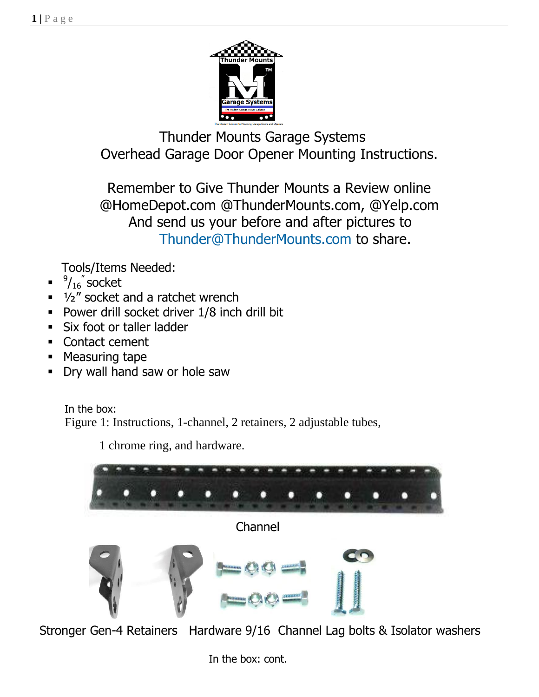

 Thunder Mounts Garage Systems Overhead Garage Door Opener Mounting Instructions.

Remember to Give Thunder Mounts a Review online @HomeDepot.com @ThunderMounts.com, @Yelp.com And send us your before and after pictures to [Thunder@ThunderMounts.com](mailto:Thunder@ThunderMounts.com) to share.

Tools/Items Needed:

- $\blacksquare$  $^9$ / $_{16}$ ″ socket
- 1/2" socket and a ratchet wrench
- **Power drill socket driver 1/8 inch drill bit**
- **Six foot or taller ladder**
- Contact cement
- **Measuring tape**
- Dry wall hand saw or hole saw

In the box: Figure 1: Instructions, 1-channel, 2 retainers, 2 adjustable tubes,

1 chrome ring, and hardware.



Stronger Gen-4 Retainers Hardware 9/16 Channel Lag bolts & Isolator washers

In the box: cont.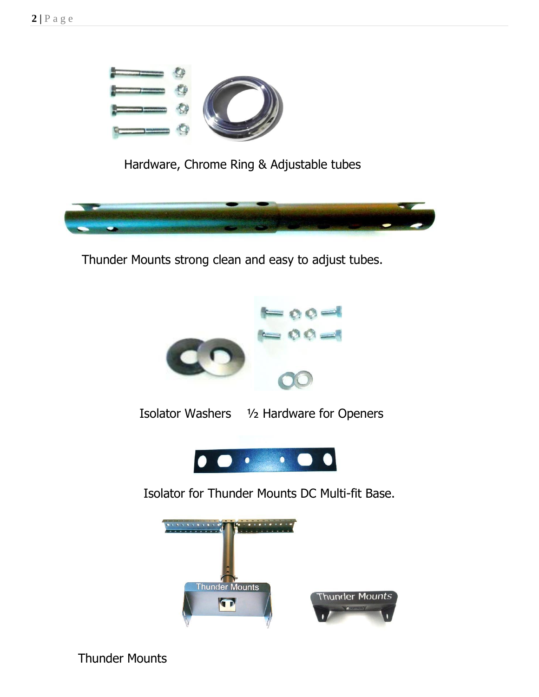

Hardware, Chrome Ring & Adjustable tubes



Thunder Mounts strong clean and easy to adjust tubes.



Isolator Washers ½ Hardware for Openers



Isolator for Thunder Mounts DC Multi-fit Base.



Thunder Mounts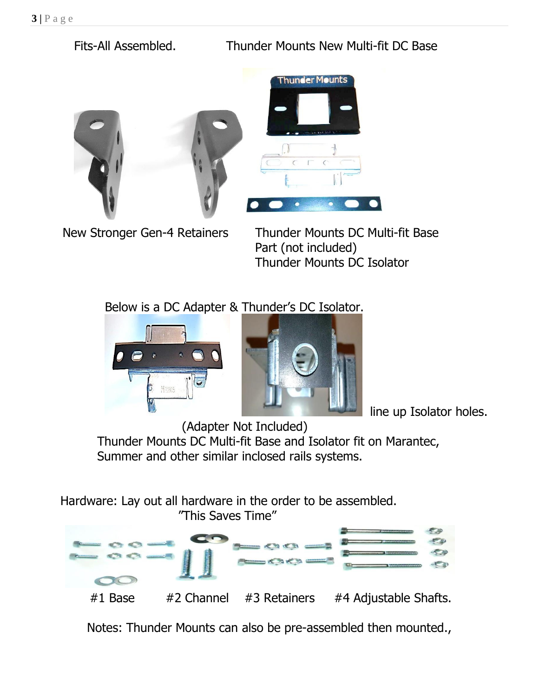Fits-All Assembled. Thunder Mounts New Multi-fit DC Base





 New Stronger Gen-4 Retainers Thunder Mounts DC Multi-fit Base Part (not included) Thunder Mounts DC Isolator

Below is a DC Adapter & Thunder's DC Isolator.



line up Isolator holes.

 (Adapter Not Included) Thunder Mounts DC Multi-fit Base and Isolator fit on Marantec, Summer and other similar inclosed rails systems.

Hardware: Lay out all hardware in the order to be assembled.



Notes: Thunder Mounts can also be pre-assembled then mounted.,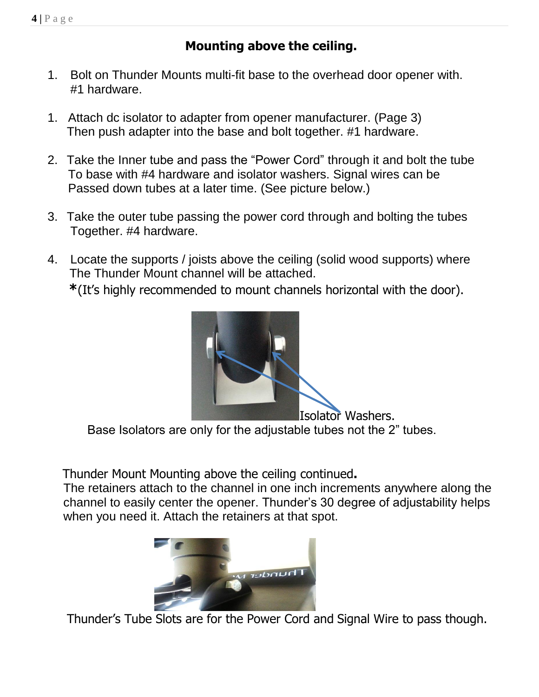## **Mounting above the ceiling.**

- 1. Bolt on Thunder Mounts multi-fit base to the overhead door opener with. #1 hardware.
- 1. Attach dc isolator to adapter from opener manufacturer. (Page 3) Then push adapter into the base and bolt together. #1 hardware.
- 2. Take the Inner tube and pass the "Power Cord" through it and bolt the tube To base with #4 hardware and isolator washers. Signal wires can be Passed down tubes at a later time. (See picture below.)
- 3. Take the outer tube passing the power cord through and bolting the tubes Together. #4 hardware.
- 4. Locate the supports / joists above the ceiling (solid wood supports) where The Thunder Mount channel will be attached.  **\***(It's highly recommended to mount channels horizontal with the door).



Base Isolators are only for the adjustable tubes not the 2" tubes.

Thunder Mount Mounting above the ceiling continued**.**

The retainers attach to the channel in one inch increments anywhere along the channel to easily center the opener. Thunder's 30 degree of adjustability helps when you need it. Attach the retainers at that spot.



Thunder's Tube Slots are for the Power Cord and Signal Wire to pass though.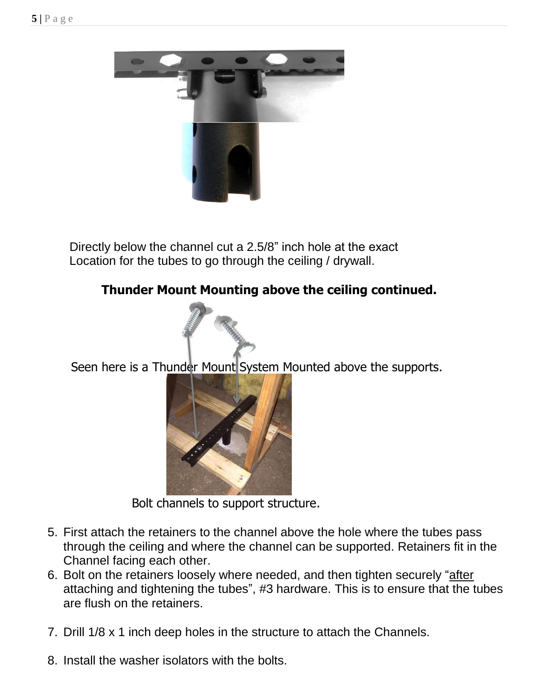

 Directly below the channel cut a 2.5/8" inch hole at the exact Location for the tubes to go through the ceiling / drywall.

## **Thunder Mount Mounting above the ceiling continued.**



Seen here is a Thunder Mount System Mounted above the supports.



Bolt channels to support structure.

- 5. First attach the retainers to the channel above the hole where the tubes pass through the ceiling and where the channel can be supported. Retainers fit in the Channel facing each other.
- 6. Bolt on the retainers loosely where needed, and then tighten securely "after attaching and tightening the tubes", #3 hardware. This is to ensure that the tubes are flush on the retainers.
- 7. Drill 1/8 x 1 inch deep holes in the structure to attach the Channels.
- 8. Install the washer isolators with the bolts.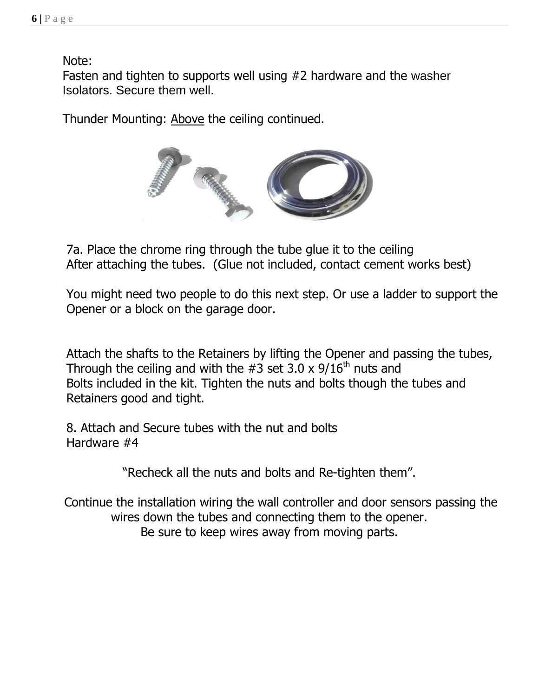Note:

 Fasten and tighten to supports well using #2 hardware and the washer Isolators. Secure them well.

Thunder Mounting: Above the ceiling continued.



 7a. Place the chrome ring through the tube glue it to the ceiling After attaching the tubes. (Glue not included, contact cement works best)

 You might need two people to do this next step. Or use a ladder to support the Opener or a block on the garage door.

 Attach the shafts to the Retainers by lifting the Opener and passing the tubes, Through the ceiling and with the  $#3$  set  $3.0 \times 9/16^{th}$  nuts and Bolts included in the kit. Tighten the nuts and bolts though the tubes and Retainers good and tight.

 8. Attach and Secure tubes with the nut and bolts Hardware #4

"Recheck all the nuts and bolts and Re-tighten them".

 Continue the installation wiring the wall controller and door sensors passing the wires down the tubes and connecting them to the opener. Be sure to keep wires away from moving parts.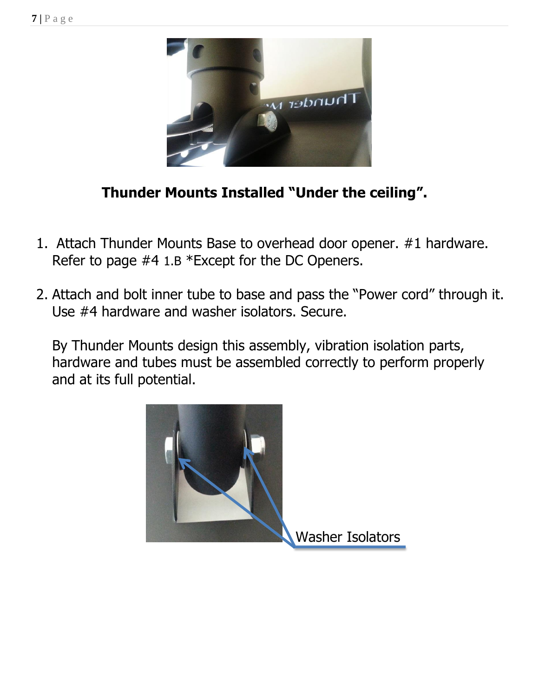

## **Thunder Mounts Installed "Under the ceiling".**

- 1. Attach Thunder Mounts Base to overhead door opener. #1 hardware. Refer to page #4 1.B \*Except for the DC Openers.
- 2. Attach and bolt inner tube to base and pass the "Power cord" through it. Use #4 hardware and washer isolators. Secure.

By Thunder Mounts design this assembly, vibration isolation parts, hardware and tubes must be assembled correctly to perform properly and at its full potential.

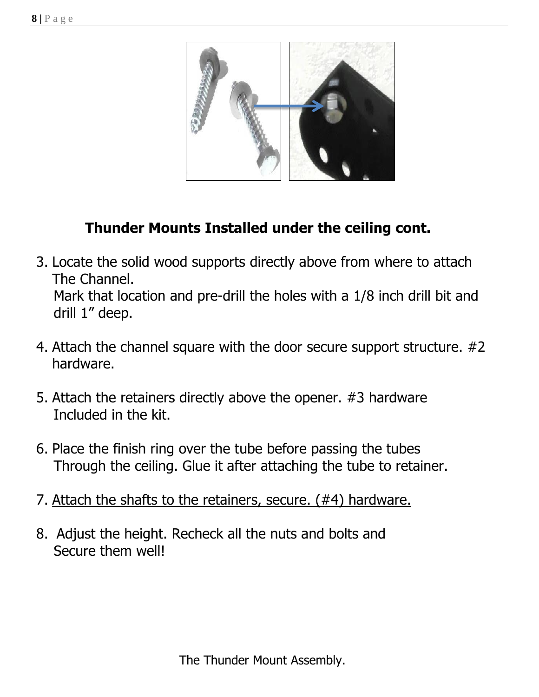

## **Thunder Mounts Installed under the ceiling cont.**

- 3. Locate the solid wood supports directly above from where to attach The Channel. Mark that location and pre-drill the holes with a 1/8 inch drill bit and drill 1" deep.
- 4. Attach the channel square with the door secure support structure. #2 hardware.
- 5. Attach the retainers directly above the opener. #3 hardware Included in the kit.
- 6. Place the finish ring over the tube before passing the tubes Through the ceiling. Glue it after attaching the tube to retainer.
- 7. Attach the shafts to the retainers, secure. (#4) hardware.
- 8. Adjust the height. Recheck all the nuts and bolts and Secure them well!